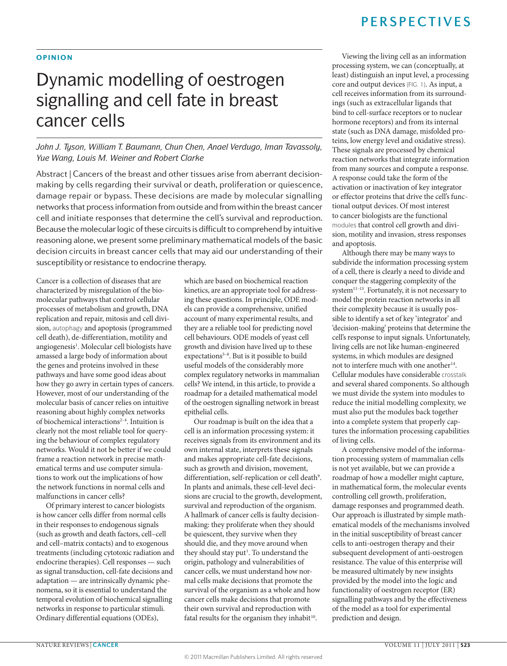## OPINION

# Dynamic modelling of oestrogen signalling and cell fate in breast cancer cells

*John J. Tyson, William T. Baumann, Chun Chen, Anael Verdugo, Iman Tavassoly, Yue Wang, Louis M. Weiner and Robert Clarke*

Abstract | Cancers of the breast and other tissues arise from aberrant decisionmaking by cells regarding their survival or death, proliferation or quiescence, damage repair or bypass. These decisions are made by molecular signalling networks that process information from outside and from within the breast cancer cell and initiate responses that determine the cell's survival and reproduction. Because the molecular logic of these circuits is difficult to comprehend by intuitive reasoning alone, we present some preliminary mathematical models of the basic decision circuits in breast cancer cells that may aid our understanding of their susceptibility or resistance to endocrine therapy.

Cancer is a collection of diseases that are characterized by misregulation of the biomolecular pathways that control cellular processes of metabolism and growth, DNA replication and repair, mitosis and cell division, autophagy and apoptosis (programmed cell death), de-differentiation, motility and angiogenesis<sup>1</sup>. Molecular cell biologists have amassed a large body of information about the genes and proteins involved in these pathways and have some good ideas about how they go awry in certain types of cancers. However, most of our understanding of the molecular basis of cancer relies on intuitive reasoning about highly complex networks of biochemical interactions<sup>2-4</sup>. Intuition is clearly not the most reliable tool for querying the behaviour of complex regulatory networks. Would it not be better if we could frame a reaction network in precise mathematical terms and use computer simulations to work out the implications of how the network functions in normal cells and malfunctions in cancer cells?

Of primary interest to cancer biologists is how cancer cells differ from normal cells in their responses to endogenous signals (such as growth and death factors, cell–cell and cell–matrix contacts) and to exogenous treatments (including cytotoxic radiation and endocrine therapies). Cell responses — such as signal transduction, cell-fate decisions and adaptation — are intrinsically dynamic phenomena, so it is essential to understand the temporal evolution of biochemical signalling networks in response to particular stimuli. Ordinary differential equations (ODEs),

which are based on biochemical reaction kinetics, are an appropriate tool for addressing these questions. In principle, ODE models can provide a comprehensive, unified account of many experimental results, and they are a reliable tool for predicting novel cell behaviours. ODE models of yeast cell growth and division have lived up to these expectations<sup>5-8</sup>. But is it possible to build useful models of the considerably more complex regulatory networks in mammalian cells? We intend, in this article, to provide a roadmap for a detailed mathematical model of the oestrogen signalling network in breast epithelial cells.

Our roadmap is built on the idea that a cell is an information processing system: it receives signals from its environment and its own internal state, interprets these signals and makes appropriate cell-fate decisions, such as growth and division, movement, differentiation, self-replication or cell death<sup>9</sup>. In plants and animals, these cell-level decisions are crucial to the growth, development, survival and reproduction of the organism. A hallmark of cancer cells is faulty decisionmaking: they proliferate when they should be quiescent, they survive when they should die, and they move around when they should stay put<sup>1</sup>. To understand the origin, pathology and vulnerabilities of cancer cells, we must understand how normal cells make decisions that promote the survival of the organism as a whole and how cancer cells make decisions that promote their own survival and reproduction with fatal results for the organism they inhabit<sup>10</sup>.

Viewing the living cell as an information processing system, we can (conceptually, at least) distinguish an input level, a processing core and output devices (FIG. 1). As input, a cell receives information from its surroundings (such as extracellular ligands that bind to cell-surface receptors or to nuclear hormone receptors) and from its internal state (such as DNA damage, misfolded proteins, low energy level and oxidative stress). These signals are processed by chemical reaction networks that integrate information from many sources and compute a response. A response could take the form of the activation or inactivation of key integrator or effector proteins that drive the cell's functional output devices. Of most interest to cancer biologists are the functional modules that control cell growth and division, motility and invasion, stress responses and apoptosis.

Although there may be many ways to subdivide the information processing system of a cell, there is clearly a need to divide and conquer the staggering complexity of the system $^{11-13}$ . Fortunately, it is not necessary to model the protein reaction networks in all their complexity because it is usually possible to identify a set of key 'integrator' and 'decision-making' proteins that determine the cell's response to input signals. Unfortunately, living cells are not like human-engineered systems, in which modules are designed not to interfere much with one another<sup>14</sup>. Cellular modules have considerable crosstalk and several shared components. So although we must divide the system into modules to reduce the initial modelling complexity, we must also put the modules back together into a complete system that properly captures the information processing capabilities of living cells.

A comprehensive model of the information processing system of mammalian cells is not yet available, but we can provide a roadmap of how a modeller might capture, in mathematical form, the molecular events controlling cell growth, proliferation, damage responses and programmed death. Our approach is illustrated by simple mathematical models of the mechanisms involved in the initial susceptibility of breast cancer cells to anti-oestrogen therapy and their subsequent development of anti-oestrogen resistance. The value of this enterprise will be measured ultimately by new insights provided by the model into the logic and functionality of oestrogen receptor (ER) signalling pathways and by the effectiveness of the model as a tool for experimental prediction and design.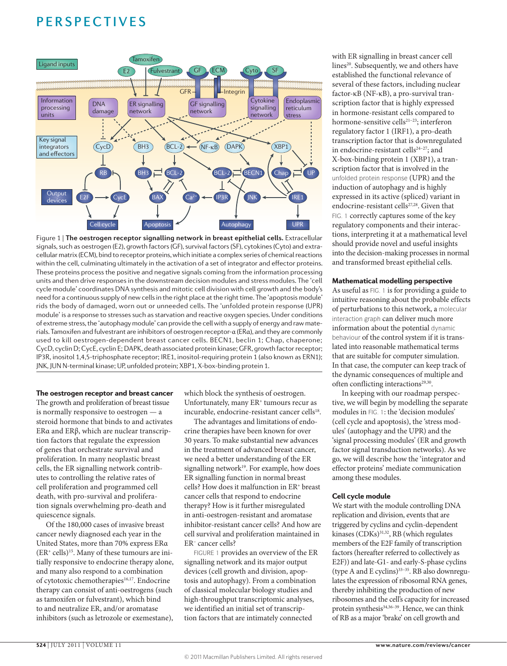

**Figure 1 | The oestrogen receptor signalling network in breast epithelial cells. Extracellular in the second sta<br>
<b>Reviews** signals, such as oestrogen (E2), growth factors (GF), survival factors (SF), cytokines (Cyto) and extracellular matrix (ECM), bind to receptor proteins, which initiate a complex series of chemical reactions within the cell, culminating ultimately in the activation of a set of integrator and effector proteins. These proteins process the positive and negative signals coming from the information processing units and then drive responses in the downstream decision modules and stress modules. The 'cell cycle module' coordinates DNA synthesis and mitotic cell division with cell growth and the body's need for a continuous supply of new cells in the right place at the right time. The 'apoptosis module' rids the body of damaged, worn out or unneeded cells. The 'unfolded protein response (UPR) module' is a response to stresses such as starvation and reactive oxygen species. Under conditions of extreme stress, the 'autophagy module' can provide the cell with a supply of energy and raw materials. Tamoxifen and fulvestrant are inhibitors of oestrogen receptor-α (ERα), and they are commonly used to kill oestrogen-dependent breast cancer cells. BECN1, beclin 1; Chap, chaperone; CycD, cyclin D; CycE, cyclin E; DAPK, death associated protein kinase; GFR, growth factor receptor; IP3R, inositol 1,4,5-triphosphate receptor; IRE1, inositol-requiring protein 1 (also known as ERN1); JNK, JUN N-terminal kinase; UP, unfolded protein; XBP1, X-box-binding protein 1.

The oestrogen receptor and breast cancer The growth and proliferation of breast tissue is normally responsive to oestrogen — a steroid hormone that binds to and activates ERα and ERβ, which are nuclear transcription factors that regulate the expression of genes that orchestrate survival and proliferation. In many neoplastic breast cells, the ER signalling network contributes to controlling the relative rates of cell proliferation and programmed cell death, with pro-survival and proliferation signals overwhelming pro-death and quiescence signals.

Of the 180,000 cases of invasive breast cancer newly diagnosed each year in the United States, more than 70% express ERα  $(ER<sup>+</sup> cells)<sup>15</sup>$ . Many of these tumours are initially responsive to endocrine therapy alone, and many also respond to a combination of cytotoxic chemotherapies<sup>16,17</sup>. Endocrine therapy can consist of anti-oestrogens (such as tamoxifen or fulvestrant), which bind to and neutralize ER, and/or aromatase inhibitors (such as letrozole or exemestane),

which block the synthesis of oestrogen. Unfortunately, many ER+ tumours recur as incurable, endocrine-resistant cancer cells<sup>18</sup>.

The advantages and limitations of endocrine therapies have been known for over 30 years. To make substantial new advances in the treatment of advanced breast cancer, we need a better understanding of the ER signalling network<sup>19</sup>. For example, how does ER signalling function in normal breast cells? How does it malfunction in ER<sup>+</sup> breast cancer cells that respond to endocrine therapy? How is it further misregulated in anti-oestrogen-resistant and aromatase inhibitor-resistant cancer cells? And how are cell survival and proliferation maintained in ER− cancer cells?

FIGURE 1 provides an overview of the ER signalling network and its major output devices (cell growth and division, apoptosis and autophagy). From a combination of classical molecular biology studies and high-throughput transcriptomic analyses, we identified an initial set of transcription factors that are intimately connected

with ER signalling in breast cancer cell lines<sup>20</sup>. Subsequently, we and others have established the functional relevance of several of these factors, including nuclear factor-κB (NF-κB), a pro-survival transcription factor that is highly expressed in hormone-resistant cells compared to hormone-sensitive cells<sup>21-23</sup>; interferon regulatory factor 1 (IRF1), a pro-death transcription factor that is downregulated in endocrine-resistant cells<sup>24-27</sup>; and X-box-binding protein 1 (XBP1), a transcription factor that is involved in the unfolded protein response (UPR) and the induction of autophagy and is highly expressed in its active (spliced) variant in endocrine-resistant cells<sup>27,28</sup>. Given that FIG. 1 correctly captures some of the key regulatory components and their interactions, interpreting it at a mathematical level should provide novel and useful insights into the decision-making processes in normal and transformed breast epithelial cells.

### Mathematical modelling perspective

As useful as FIG. 1 is for providing a guide to intuitive reasoning about the probable effects of perturbations to this network, a molecular interaction graph can deliver much more information about the potential dynamic behaviour of the control system if it is translated into reasonable mathematical terms that are suitable for computer simulation. In that case, the computer can keep track of the dynamic consequences of multiple and often conflicting interactions<sup>29,30</sup>.

In keeping with our roadmap perspective, we will begin by modelling the separate modules in FIG. 1: the 'decision modules' (cell cycle and apoptosis), the 'stress modules' (autophagy and the UPR) and the 'signal processing modules' (ER and growth factor signal transduction networks). As we go, we will describe how the 'integrator and effector proteins' mediate communication among these modules.

### Cell cycle module

We start with the module controlling DNA replication and division, events that are triggered by cyclins and cyclin-dependent kinases  $(CDKs)^{31,32}$ , RB (which regulates members of the E2F family of transcription factors (hereafter referred to collectively as E2F)) and late-G1- and early-S-phase cyclins (type A and E cyclins)<sup>33-35</sup>. RB also downregulates the expression of ribosomal RNA genes, thereby inhibiting the production of new ribosomes and the cell's capacity for increased protein synthesis<sup>34,36-39</sup>. Hence, we can think of RB as a major 'brake' on cell growth and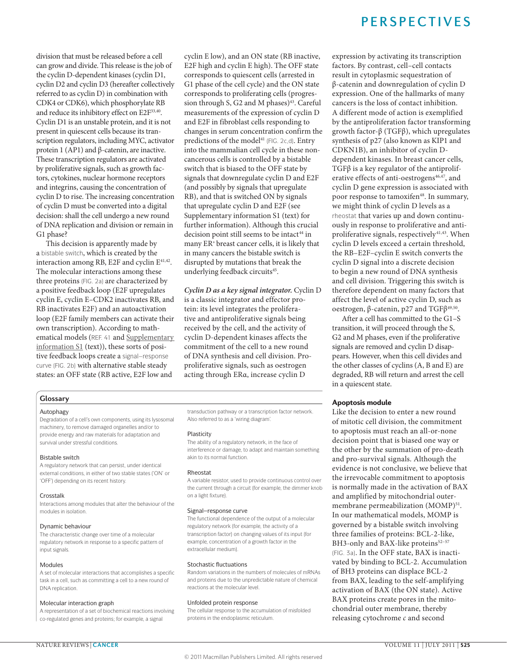division that must be released before a cell can grow and divide. This release is the job of the cyclin D-dependent kinases (cyclin D1, cyclin D2 and cyclin D3 (hereafter collectively referred to as cyclin D) in combination with CDK4 or CDK6), which phosphorylate RB and reduce its inhibitory effect on E2F33,40. Cyclin D1 is an unstable protein, and it is not present in quiescent cells because its transcription regulators, including MYC, activator protein 1 (AP1) and β-catenin, are inactive. These transcription regulators are activated by proliferative signals, such as growth factors, cytokines, nuclear hormone receptors and integrins, causing the concentration of cyclin D to rise. The increasing concentration of cyclin D must be converted into a digital decision: shall the cell undergo a new round of DNA replication and division or remain in G1 phase?

This decision is apparently made by a bistable switch, which is created by the interaction among RB, E2F and cyclin E<sup>41,42</sup>. The molecular interactions among these three proteins (FIG. 2a) are characterized by a positive feedback loop (E2F upregulates cyclin E, cyclin E–CDK2 inactivates RB, and RB inactivates E2F) and an autoactivation loop (E2F family members can activate their own transcription). According to mathematical models (REF. 41 and [Supplementary](http://www.nature.com/nrc/journal/v11/n7/suppinfo/nrc3081.html) [information S1](http://www.nature.com/nrc/journal/v11/n7/suppinfo/nrc3081.html) (text)), these sorts of positive feedback loops create a signal–response curve (FIG. 2b) with alternative stable steady states: an OFF state (RB active, E2F low and

cyclin E low), and an ON state (RB inactive, E2F high and cyclin E high). The OFF state corresponds to quiescent cells (arrested in G1 phase of the cell cycle) and the ON state corresponds to proliferating cells (progression through S, G2 and M phases)<sup>43</sup>. Careful measurements of the expression of cyclin D and E2F in fibroblast cells responding to changes in serum concentration confirm the predictions of the model<sup>41</sup> (FIG. 2c,d). Entry into the mammalian cell cycle in these noncancerous cells is controlled by a bistable switch that is biased to the OFF state by signals that downregulate cyclin D and E2F (and possibly by signals that upregulate RB), and that is switched ON by signals that upregulate cyclin D and E2F (see Supplementary information S1 (text) for further information). Although this crucial decision point still seems to be intact<sup>44</sup> in many ER+ breast cancer cells, it is likely that in many cancers the bistable switch is disrupted by mutations that break the underlying feedback circuits<sup>45</sup>.

*Cyclin D as a key signal integrator.* Cyclin D is a classic integrator and effector protein: its level integrates the proliferative and antiproliferative signals being received by the cell, and the activity of cyclin D-dependent kinases affects the commitment of the cell to a new round of DNA synthesis and cell division. Proproliferative signals, such as oestrogen acting through ERα, increase cyclin D

### **Glossary**

#### Autophagy

Degradation of a cell's own components, using its lysosomal machinery, to remove damaged organelles and/or to provide energy and raw materials for adaptation and survival under stressful conditions.

#### Bistable switch

A regulatory network that can persist, under identical external conditions, in either of two stable states ('ON' or 'OFF') depending on its recent history.

#### **Crosstalk**

Interactions among modules that alter the behaviour of the modules in isolation.

### Dynamic behaviour

The characteristic change over time of a molecular regulatory network in response to a specific pattern of input signals.

#### Modules

A set of molecular interactions that accomplishes a specific task in a cell, such as committing a cell to a new round of DNA replication.

#### Molecular interaction graph

A representation of a set of biochemical reactions involving co-regulated genes and proteins; for example, a signal

transduction pathway or a transcription factor network. Also referred to as a 'wiring diagram'.

#### **Plasticity**

The ability of a regulatory network, in the face of interference or damage, to adapt and maintain something akin to its normal function.

### Rheostat

A variable resistor, used to provide continuous control over the current through a circuit (for example, the dimmer knob on a light fixture).

#### Signal–response curve

The functional dependence of the output of a molecular regulatory network (for example, the activity of a transcription factor) on changing values of its input (for example, concentration of a growth factor in the extracellular medium).

#### Stochastic fluctuations

Random variations in the numbers of molecules of mRNAs and proteins due to the unpredictable nature of chemical reactions at the molecular level.

#### Unfolded protein response

The cellular response to the accumulation of misfolded proteins in the endoplasmic reticulum.

expression by activating its transcription factors. By contrast, cell–cell contacts result in cytoplasmic sequestration of β-catenin and downregulation of cyclin D expression. One of the hallmarks of many cancers is the loss of contact inhibition. A different mode of action is exemplified by the antiproliferation factor transforming growth factor-β (TGFβ), which upregulates synthesis of p27 (also known as KIP1 and CDKN1B), an inhibitor of cyclin Ddependent kinases. In breast cancer cells, TGFβ is a key regulator of the antiproliferative effects of anti-oestrogens<sup>46,47</sup>, and cyclin D gene expression is associated with poor response to tamoxifen<sup>48</sup>. In summary, we might think of cyclin D levels as a rheostat that varies up and down continuously in response to proliferative and antiproliferative signals, respectively<sup>41,43</sup>. When cyclin D levels exceed a certain threshold, the RB–E2F–cyclin E switch converts the cyclin D signal into a discrete decision to begin a new round of DNA synthesis and cell division. Triggering this switch is therefore dependent on many factors that affect the level of active cyclin D, such as oestrogen, β-catenin, p27 and TGF $β<sup>49,50</sup>$ .

After a cell has committed to the G1–S transition, it will proceed through the S, G2 and M phases, even if the proliferative signals are removed and cyclin D disappears. However, when this cell divides and the other classes of cyclins (A, B and E) are degraded, RB will return and arrest the cell in a quiescent state.

### Apoptosis module

Like the decision to enter a new round of mitotic cell division, the commitment to apoptosis must reach an all-or-none decision point that is biased one way or the other by the summation of pro-death and pro-survival signals. Although the evidence is not conclusive, we believe that the irrevocable commitment to apoptosis is normally made in the activation of BAX and amplified by mitochondrial outermembrane permeabilization (MOMP)<sup>51</sup>. In our mathematical models, MOMP is governed by a bistable switch involving three families of proteins: BCL-2-like, BH3-only and BAX-like proteins<sup>52-57</sup> (FIG. 3a). In the OFF state, BAX is inactivated by binding to BCL-2. Accumulation of BH3 proteins can displace BCL-2 from BAX, leading to the self-amplifying activation of BAX (the ON state). Active BAX proteins create pores in the mitochondrial outer membrane, thereby releasing cytochrome *c* and second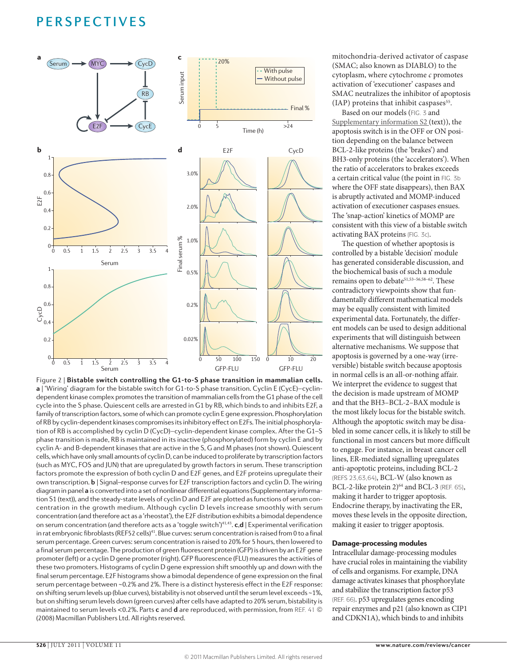

Figure 2 | Bistable switch controlling the G1-to-S phase transition in mammalian cells. **a** | 'Wiring' diagram for the bistable switch for G1-to-S phase transition. Cyclin E (CycE)-cyclindependent kinase complex promotes the transition of mammalian cells from the G1 phase of the cell cycle into the S phase. Quiescent cells are arrested in G1 by RB, which binds to and inhibits E2F, a family of transcription factors, some of which can promote cyclin E gene expression. Phosphorylation of RB by cyclin-dependent kinases compromises its inhibitory effect on E2Fs. The initial phosphorylation of RB is accomplished by cyclin D (CycD)-cyclin-dependent kinase complex. After the G1–S phase transition is made, RB is maintained in its inactive (phosphorylated) form by cyclin E and by cyclin A- and B-dependent kinases that are active in the S, G and M phases (not shown). Quiescent cells, which have only small amounts of cyclin D, can be induced to proliferate by transcription factors (such as MYC, FOS and JUN) that are upregulated by growth factors in serum. These transcription factors promote the expression of both cyclin D and E2F genes, and E2F proteins upregulate their own transcription. **b** | Signal–response curves for E2F transcription factors and cyclin D. The wiring diagram in panel **a** is converted into a set of nonlinear differential equations (Supplementary information S1 (text)), and the steady-state levels of cyclin D and E2F are plotted as functions of serum concentration in the growth medium. Although cyclin D levels increase smoothly with serum concentration (and therefore act as a 'rheostat'), the E2F distribution exhibits a bimodal dependence on serum concentration (and therefore acts as a 'toggle switch')41,43. **c**,**d** | Experimental verification in rat embryonic fibroblasts (REF52 cells)<sup>41</sup>. Blue curves: serum concentration is raised from 0 to a final serum percentage. Green curves: serum concentration is raised to 20% for 5 hours, then lowered to a final serum percentage. The production of green fluorescent protein (GFP) is driven by an E2F gene promoter (left) or a cyclin D gene promoter (right). GFP fluorescence (FLU) measures the activities of these two promoters. Histograms of cyclin D gene expression shift smoothly up and down with the final serum percentage. E2F histograms show a bimodal dependence of gene expression on the final serum percentage between ~0.2% and 2%. There is a distinct hysteresis effect in the E2F response: on shifting serum levels up (blue curves), bistability is not observed until the serum level exceeds ~1%, but on shifting serum levels down (green curves) after cells have adapted to 20% serum, bistability is maintained to serum levels <0.2%. Parts **c** and **d** are reproduced, with permission, from REF. 41 © (2008) Macmillan Publishers Ltd. All rights reserved.

mitochondria-derived activator of caspase (SMAC; also known as DIABLO) to the cytoplasm, where cytochrome *c* promotes activation of 'executioner' caspases and SMAC neutralizes the inhibitor of apoptosis  $(IAP)$  proteins that inhibit caspases<sup>55</sup>.

Based on our models (FIG. 3 and [Supplementary information S2](http://www.nature.com/nrc/journal/v11/n7/suppinfo/nrc3081.html) (text)), the apoptosis switch is in the OFF or ON position depending on the balance between BCL-2-like proteins (the 'brakes') and BH3-only proteins (the 'accelerators'). When the ratio of accelerators to brakes exceeds a certain critical value (the point in FIG. 3b where the OFF state disappears), then BAX is abruptly activated and MOMP-induced activation of executioner caspases ensues. The 'snap-action' kinetics of MOMP are consistent with this view of a bistable switch activating BAX proteins (FIG. 3c).

The question of whether apoptosis is controlled by a bistable 'decision' module has generated considerable discussion, and the biochemical basis of such a module remains open to debate<sup>51,53-56,58-62</sup>. These contradictory viewpoints show that fundamentally different mathematical models may be equally consistent with limited experimental data. Fortunately, the different models can be used to design additional experiments that will distinguish between alternative mechanisms. We suppose that apoptosis is governed by a one-way (irreversible) bistable switch because apoptosis in normal cells is an all-or-nothing affair. We interpret the evidence to suggest that the decision is made upstream of MOMP and that the BH3–BCL-2–BAX module is the most likely locus for the bistable switch. Although the apoptotic switch may be disabled in some cancer cells, it is likely to still be functional in most cancers but more difficult to engage. For instance, in breast cancer cell lines, ER-mediated signalling upregulates anti-apoptotic proteins, including BCL-2 (REFS 23,63,64), BCL-W (also known as BCL-2-like protein 2)<sup>64</sup> and BCL-3 (REF. 65), making it harder to trigger apoptosis. Endocrine therapy, by inactivating the ER, moves these levels in the opposite direction, making it easier to trigger apoptosis.

### Damage-processing modules

Intracellular damage-processing modules have crucial roles in maintaining the viability of cells and organisms. For example, DNA damage activates kinases that phosphorylate and stabilize the transcription factor p53 (REF. 66). p53 upregulates genes encoding repair enzymes and p21 (also known as CIP1 and CDKN1A), which binds to and inhibits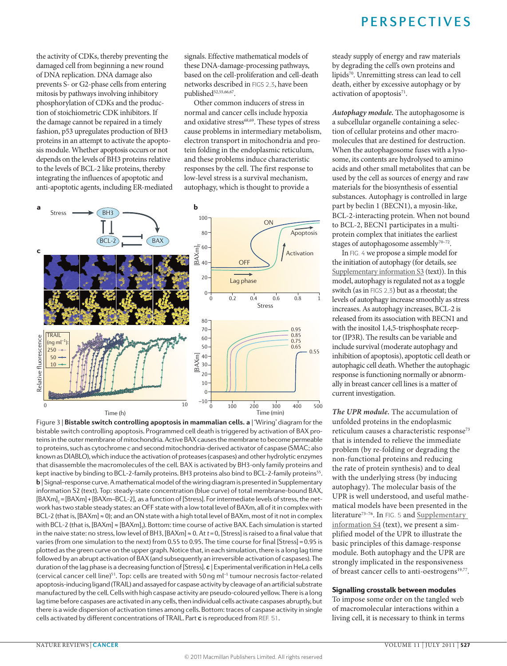the activity of CDKs, thereby preventing the damaged cell from beginning a new round of DNA replication. DNA damage also prevents S- or G2-phase cells from entering mitosis by pathways involving inhibitory phosphorylation of CDKs and the production of stoichiometric CDK inhibitors. If the damage cannot be repaired in a timely fashion, p53 upregulates production of BH3 proteins in an attempt to activate the apoptosis module. Whether apoptosis occurs or not depends on the levels of BH3 proteins relative to the levels of BCL-2 like proteins, thereby integrating the influences of apoptotic and anti-apoptotic agents, including ER-mediated signals. Effective mathematical models of these DNA-damage-processing pathways, based on the cell-proliferation and cell-death networks described in FIGS 2,3, have been published<sup>52,55,66,67</sup>.

Other common inducers of stress in normal and cancer cells include hypoxia and oxidative stress<sup>68,69</sup>. These types of stress cause problems in intermediary metabolism, electron transport in mitochondria and protein folding in the endoplasmic reticulum, and these problems induce characteristic responses by the cell. The first response to low-level stress is a survival mechanism, autophagy, which is thought to provide a



**Figure 3 | Bistable switch controlling apoptosis in mammalian cells. a | 'Wiring' diagram for the** bistable switch controlling apoptosis. Programmed cell death is triggered by activation of BAX proteins in the outer membrane of mitochondria. Active BAX causes the membrane to become permeable to proteins, such as cytochrome *c* and second mitochondria-derived activator of caspase (SMAC; also known as DIABLO), which induce the activation of proteases (caspases) and other hydrolytic enzymes that disassemble the macromolecules of the cell. BAX is activated by BH3-only family proteins and kept inactive by binding to BCL-2-family proteins. BH3 proteins also bind to BCL-2-family proteins<sup>55</sup>. **b** | Signal–response curve. A mathematical model of the wiring diagram is presented in Supplementary information S2 (text). Top: steady-state concentration (blue curve) of total membrane-bound BAX,  $[BAXm]_T=[BAXm]+[BAXm-BCL-2]$ , as a function of [Stress]. For intermediate levels of stress, the network has two stable steady states: an OFF state with a low total level of BAXm, all of it in complex with BCL-2 (that is, [BAXm] ≈ 0); and an ON state with a high total level of BAXm, most of it not in complex with BCL-2 (that is, [BAXm] ≈ [BAXm]<sub>т</sub>). Bottom: time course of active BAX. Each simulation is started in the naive state: no stress, low level of BH3, [BAXm] ≈ 0. At *t*=0, [Stress] is raised to a final value that varies (from one simulation to the next) from 0.55 to 0.95. The time course for final [Stress]=0.95 is plotted as the green curve on the upper graph. Notice that, in each simulation, there is a long lag time followed by an abrupt activation of BAX (and subsequently an irreversible activation of caspases). The duration of the lag phase is a decreasing function of [Stress]. **c** | Experimental verification in HeLa cells (cervical cancer cell line)51. Top: cells are treated with 50ng ml–1 tumour necrosis factor-related apoptosis-inducing ligand (TRAIL) and assayed for caspase activity by cleavage of an artificial substrate manufactured by the cell. Cells with high caspase activity are pseudo-coloured yellow. There is a long lag time before caspases are activated in any cells, then individual cells activate caspases abruptly, but there is a wide dispersion of activation times among cells. Bottom: traces of caspase activity in single cells activated by different concentrations of TRAIL. Part **c** is reproduced from REF. 51.

steady supply of energy and raw materials by degrading the cell's own proteins and lipids70. Unremitting stress can lead to cell death, either by excessive autophagy or by activation of apoptosis<sup>71</sup>.

*Autophagy module.* The autophagosome is a subcellular organelle containing a selection of cellular proteins and other macromolecules that are destined for destruction. When the autophagosome fuses with a lysosome, its contents are hydrolysed to amino acids and other small metabolites that can be used by the cell as sources of energy and raw materials for the biosynthesis of essential substances. Autophagy is controlled in large part by beclin 1 (BECN1), a myosin-like, BCL-2-interacting protein. When not bound to BCL-2, BECN1 participates in a multiprotein complex that initiates the earliest stages of autophagosome assembly<sup>70-72</sup>.

In FIG. 4 we propose a simple model for the initiation of autophagy (for details, see [Supplementary information S3](http://www.nature.com/nrc/journal/v11/n7/suppinfo/nrc3081.html) (text)). In this model, autophagy is regulated not as a toggle switch (as in FIGS 2,3) but as a rheostat; the levels of autophagy increase smoothly as stress increases. As autophagy increases, BCL-2 is released from its association with BECN1 and with the inositol 1,4,5-trisphosphate receptor (IP3R). The results can be variable and include survival (moderate autophagy and inhibition of apoptosis), apoptotic cell death or autophagic cell death. Whether the autophagic response is functioning normally or abnormally in breast cancer cell lines is a matter of current investigation.

*The UPR module.* The accumulation of unfolded proteins in the endoplasmic reticulum causes a characteristic response<sup>73</sup> that is intended to relieve the immediate problem (by re-folding or degrading the non-functional proteins and reducing the rate of protein synthesis) and to deal with the underlying stress (by inducing autophagy). The molecular basis of the UPR is well understood, and useful mathematical models have been presented in the literature<sup>73-76</sup>. In FIG. 5 and Supplementary [information S4](http://www.nature.com/nrc/journal/v11/n7/suppinfo/nrc3081.html) (text), we present a simplified model of the UPR to illustrate the basic principles of this damage-response module. Both autophagy and the UPR are strongly implicated in the responsiveness of breast cancer cells to anti-oestrogens<sup>19,77</sup>.

### Signalling crosstalk between modules

To impose some order on the tangled web of macromolecular interactions within a living cell, it is necessary to think in terms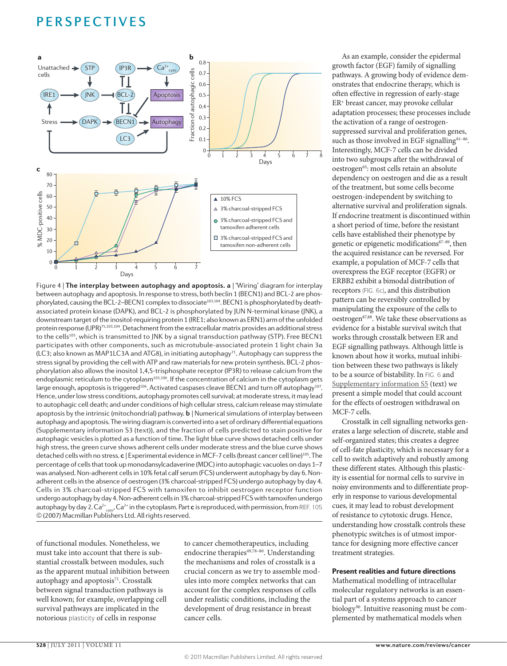

between autophagy and apoptosis. In response to stress, both beclin 1 (BECN1) and BCL-2 are phos-Figure 4 | **The interplay between autophagy and apoptosis. a** | 'Wiring' diagram for interplay phorylated, causing the BCL-2-BECN1 complex to dissociate<sup>103,104</sup>. BECN1 is phosphorylated by deathassociated protein kinase (DAPK), and BCL-2 is phosphorylated by JUN N-terminal kinase (JNK), a downstream target of the inositol-requiring protein 1 (IRE1; also known as ERN1) arm of the unfolded protein response (UPR)75,103,104. Detachment from the extracellular matrix provides an additional stress to the cells<sup>105</sup>, which is transmitted to JNK by a signal transduction pathway (STP). Free BECN1 participates with other components, such as microtubule-associated protein 1 light chain 3α (LC3; also known as MAP1LC3A and ATG8), in initiating autophagy<sup>71</sup>. Autophagy can suppress the stress signal by providing the cell with ATP and raw materials for new protein synthesis. BCL-2 phosphorylation also allows the inositol 1,4,5-trisphosphate receptor (IP3R) to release calcium from the endoplasmic reticulum to the cytoplasm<sup>103,106</sup>. If the concentration of calcium in the cytoplasm gets large enough, apoptosis is triggered<sup>106</sup>. Activated caspases cleave BECN1 and turn off autophagy<sup>107</sup>. Hence, under low stress conditions, autophagy promotes cell survival; at moderate stress, it may lead to autophagic cell death; and under conditions of high cellular stress, calcium release may stimulate apoptosis by the intrinsic (mitochondrial) pathway. **b** | Numerical simulations of interplay between autophagy and apoptosis. The wiring diagram is converted into a set of ordinary differential equations (Supplementary information S3 (text)), and the fraction of cells predicted to stain positive for autophagic vesicles is plotted as a function of time. The light blue curve shows detached cells under high stress, the green curve shows adherent cells under moderate stress and the blue curve shows detached cells with no stress. **c** | Experimental evidence in MCF-7 cells (breast cancer cell line)<sup>105</sup>. The percentage of cells that took up monodansylcadaverine (MDC) into autophagic vacuoles on days 1–7 was analysed. Non-adherent cells in 10% fetal calf serum (FCS) underwent autophagy by day 6. Nonadherent cells in the absence of oestrogen (3% charcoal-stripped FCS) undergo autophagy by day 4. Cells in 3% charcoal-stripped FCS with tamoxifen to inhibit oestrogen receptor function undergo autophagy by day 4. Non-adherent cells in 3% charcoal-stripped FCS with tamoxifen undergo autophagy by day 2. Ca<sup>2+</sup><sub>cyto</sub>, Ca<sup>2+</sup> in the cytoplasm. Part **c** is reproduced, with permission, from REF. 105 © (2007) Macmillan Publishers Ltd. All rights reserved.

of functional modules. Nonetheless, we must take into account that there is substantial crosstalk between modules, such as the apparent mutual inhibition between autophagy and apoptosis<sup>71</sup>. Crosstalk between signal transduction pathways is well known; for example, overlapping cell survival pathways are implicated in the notorious plasticity of cells in response

to cancer chemotherapeutics, including endocrine therapies<sup>49,78–80</sup>. Understanding the mechanisms and roles of crosstalk is a crucial concern as we try to assemble modules into more complex networks that can account for the complex responses of cells under realistic conditions, including the development of drug resistance in breast cancer cells.

As an example, consider the epidermal growth factor (EGF) family of signalling pathways. A growing body of evidence demonstrates that endocrine therapy, which is often effective in regression of early-stage ER+ breast cancer, may provoke cellular adaptation processes; these processes include the activation of a range of oestrogensuppressed survival and proliferation genes, such as those involved in EGF signalling $81-86$ . Interestingly, MCF-7 cells can be divided into two subgroups after the withdrawal of oestrogen<sup>65</sup>: most cells retain an absolute dependency on oestrogen and die as a result of the treatment, but some cells become oestrogen-independent by switching to alternative survival and proliferation signals. If endocrine treatment is discontinued within a short period of time, before the resistant cells have established their phenotype by genetic or epigenetic modifications<sup>87-89</sup>, then the acquired resistance can be reversed. For example, a population of MCF-7 cells that overexpress the EGF receptor (EGFR) or ERBB2 exhibit a bimodal distribution of receptors (FIG. 6c), and this distribution pattern can be reversibly controlled by manipulating the exposure of the cells to oestrogen87,88. We take these observations as evidence for a bistable survival switch that works through crosstalk between ER and EGF signalling pathways. Although little is known about how it works, mutual inhibition between these two pathways is likely to be a source of bistability. In FIG. 6 and [Supplementary information S5](http://www.nature.com/nrc/journal/v11/n7/suppinfo/nrc3081.html) (text) we present a simple model that could account for the effects of oestrogen withdrawal on MCF-7 cells.

Crosstalk in cell signalling networks generates a large selection of discrete, stable and self-organized states; this creates a degree of cell-fate plasticity, which is necessary for a cell to switch adaptively and robustly among these different states. Although this plasticity is essential for normal cells to survive in noisy environments and to differentiate properly in response to various developmental cues, it may lead to robust development of resistance to cytotoxic drugs. Hence, understanding how crosstalk controls these phenotypic switches is of utmost importance for designing more effective cancer treatment strategies.

### Present realities and future directions

Mathematical modelling of intracellular molecular regulatory networks is an essential part of a systems approach to cancer biology<sup>90</sup>. Intuitive reasoning must be complemented by mathematical models when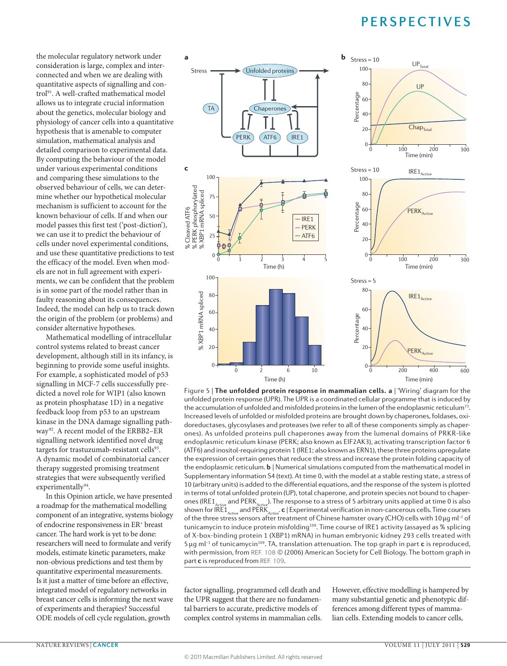the molecular regulatory network under consideration is large, complex and interconnected and when we are dealing with quantitative aspects of signalling and control<sup>91</sup>. A well-crafted mathematical model allows us to integrate crucial information about the genetics, molecular biology and physiology of cancer cells into a quantitative hypothesis that is amenable to computer simulation, mathematical analysis and detailed comparison to experimental data. By computing the behaviour of the model under various experimental conditions and comparing these simulations to the observed behaviour of cells, we can determine whether our hypothetical molecular mechanism is sufficient to account for the known behaviour of cells. If and when our model passes this first test ('post-diction'), we can use it to predict the behaviour of cells under novel experimental conditions, and use these quantitative predictions to test the efficacy of the model. Even when models are not in full agreement with experiments, we can be confident that the problem is in some part of the model rather than in faulty reasoning about its consequences. Indeed, the model can help us to track down the origin of the problem (or problems) and consider alternative hypotheses.

Mathematical modelling of intracellular control systems related to breast cancer development, although still in its infancy, is beginning to provide some useful insights. For example, a sophisticated model of p53 signalling in MCF-7 cells successfully predicted a novel role for WIP1 (also known as protein phosphatase 1D) in a negative feedback loop from p53 to an upstream kinase in the DNA damage signalling pathway<sup>92</sup>. A recent model of the ERBB2-ER signalling network identified novel drug targets for trastuzumab-resistant cells<sup>93</sup>. A dynamic model of combinatorial cancer therapy suggested promising treatment strategies that were subsequently verified experimentally<sup>94</sup>.

In this Opinion article, we have presented a roadmap for the mathematical modelling component of an integrative, systems biology of endocrine responsiveness in ER<sup>+</sup> breast cancer. The hard work is yet to be done: researchers will need to formulate and verify models, estimate kinetic parameters, make non-obvious predictions and test them by quantitative experimental measurements. Is it just a matter of time before an effective, integrated model of regulatory networks in breast cancer cells is informing the next wave of experiments and therapies? Successful ODE models of cell cycle regulation, growth



**Nature Reviews** | **Cancer** unfolded protein response (UPR). The UPR is a coordinated cellular programme that is induced by Figure 5 | **The unfolded protein response in mammalian cells. a** | 'Wiring' diagram for the the accumulation of unfolded and misfolded proteins in the lumen of the endoplasmic reticulum<sup>73</sup>. Increased levels of unfolded or misfolded proteins are brought down by chaperones, foldases, oxidoreductases, glycosylases and proteases (we refer to all of these components simply as chaperones). As unfolded proteins pull chaperones away from the lumenal domains of PRKR-like endoplasmic reticulum kinase (PERK; also known as EIF2AK3), activating transcription factor 6 (ATF6) and inositol-requiring protein 1 (IRE1; also known as ERN1), these three proteins upregulate the expression of certain genes that reduce the stress and increase the protein folding capacity of the endoplasmic reticulum. **b** | Numerical simulations computed from the mathematical model in Supplementary information S4 (text). At time 0, with the model at a stable resting state, a stress of 10 (arbitrary units) is added to the differential equations, and the response of the system is plotted in terms of total unfolded protein (UP), total chaperone, and protein species not bound to chaperones (IRE1 $_{\rm Active}$  and PERK $_{\rm Active}$ ). The response to a stress of 5 arbitrary units applied at time 0 is also shown for  $\widehat{IRE1}_{\text{Active}}$  and  $\widehat{PERK}_{\text{Active}}$ . **c** | Experimental verification in non-cancerous cells. Time courses of the three stress sensors after treatment of Chinese hamster ovary (CHO) cells with 10μg ml–1 of tunicamycin to induce protein misfolding<sup>108</sup>. Time course of IRE1 activity (assayed as % splicing of X-box-binding protein 1 (XBP1) mRNA) in human embryonic kidney 293 cells treated with 5 μg ml–1 of tunicamycin109. TA, translation attenuation. The top graph in part **c** is reproduced, with permission, from REF. 108 © (2006) American Society for Cell Biology. The bottom graph in part **c** is reproduced from REF. 109.

factor signalling, programmed cell death and the UPR suggest that there are no fundamental barriers to accurate, predictive models of complex control systems in mammalian cells.

However, effective modelling is hampered by many substantial genetic and phenotypic differences among different types of mammalian cells. Extending models to cancer cells,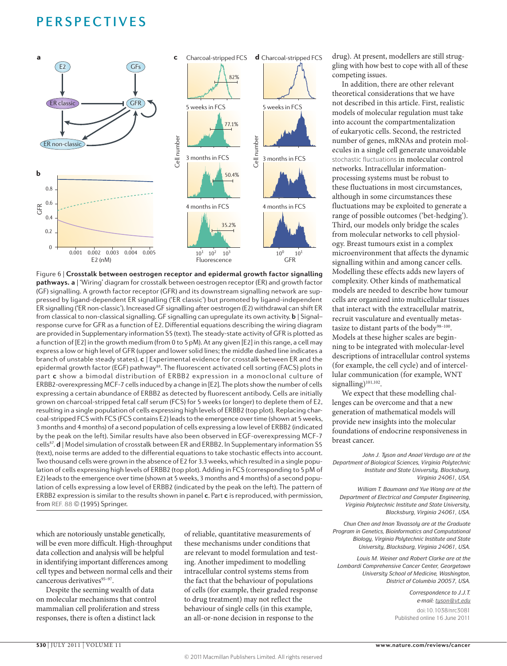

**pathways. a** | 'Wiring' diagram for crosstalk between oestrogen receptor (ER) and growth factor Figure 6 | **Crosstalk between oestrogen receptor and epidermal growth factor signalling**  (GF) signalling. A growth factor receptor (GFR) and its downstream signalling network are suppressed by ligand-dependent ER signalling ('ER classic') but promoted by ligand-independent ER signalling ('ER non-classic'). Increased GF signalling after oestrogen (E2) withdrawal can shift ER from classical to non-classical signalling. GF signalling can upregulate its own activity. **b** | Signal– response curve for GFR as a function of E2. Differential equations describing the wiring diagram are provided in Supplementary information S5 (text). The steady-state activity of GFR is plotted as a function of [E2] in the growth medium (from 0 to 5pM). At any given [E2] in this range, a cell may express a low or high level of GFR (upper and lower solid lines; the middle dashed line indicates a branch of unstable steady states). **c** | Experimental evidence for crosstalk between ER and the epidermal growth factor (EGF) pathway<sup>88</sup>. The fluorescent activated cell sorting (FACS) plots in part **c** show a bimodal distribution of ERBB2 expression in a monoclonal culture of ERBB2-overexpressing MCF-7 cells induced by a change in [E2]. The plots show the number of cells expressing a certain abundance of ERBB2 as detected by fluorescent antibody. Cells are initially grown on charcoal-stripped fetal calf serum (FCS) for 5 weeks (or longer) to deplete them of E2, resulting in a single population of cells expressing high levels of ERBB2 (top plot). Replacing charcoal-stripped FCS with FCS (FCS contains E2) leads to the emergence over time (shown at 5 weeks, 3 months and 4 months) of a second population of cells expressing a low level of ERBB2 (indicated by the peak on the left). Similar results have also been observed in EGF-overexpressing MCF-7 cells87. **d** | Model simulation of crosstalk between ER and ERBB2. In Supplementary information S5 (text), noise terms are added to the differential equations to take stochastic effects into account. Two thousand cells were grown in the absence of E2 for 3.3 weeks, which resulted in a single population of cells expressing high levels of ERBB2 (top plot). Adding in FCS (corresponding to 5pM of E2) leads to the emergence over time (shown at 5 weeks, 3 months and 4 months) of a second population of cells expressing a low level of ERBB2 (indicated by the peak on the left). The pattern of ERBB2 expression is similar to the results shown in panel **c**. Part **c** is reproduced, with permission, from REF. 88 © (1995) Springer.

which are notoriously unstable genetically, will be even more difficult. High-throughput data collection and analysis will be helpful in identifying important differences among cell types and between normal cells and their cancerous derivatives<sup>95-97</sup>.

Despite the seeming wealth of data on molecular mechanisms that control mammalian cell proliferation and stress responses, there is often a distinct lack

of reliable, quantitative measurements of these mechanisms under conditions that are relevant to model formulation and testing. Another impediment to modelling intracellular control systems stems from the fact that the behaviour of populations of cells (for example, their graded response to drug treatment) may not reflect the behaviour of single cells (in this example, an all-or-none decision in response to the

drug). At present, modellers are still struggling with how best to cope with all of these competing issues.

In addition, there are other relevant theoretical considerations that we have not described in this article. First, realistic models of molecular regulation must take into account the compartmentalization of eukaryotic cells. Second, the restricted number of genes, mRNAs and protein molecules in a single cell generate unavoidable stochastic fluctuations in molecular control networks. Intracellular informationprocessing systems must be robust to these fluctuations in most circumstances, although in some circumstances these fluctuations may be exploited to generate a range of possible outcomes ('bet-hedging'). Third, our models only bridge the scales from molecular networks to cell physiology. Breast tumours exist in a complex microenvironment that affects the dynamic signalling within and among cancer cells. Modelling these effects adds new layers of complexity. Other kinds of mathematical models are needed to describe how tumour cells are organized into multicellular tissues that interact with the extracellular matrix, recruit vasculature and eventually metastasize to distant parts of the body<sup>98-100</sup>. Models at these higher scales are beginning to be integrated with molecular-level descriptions of intracellular control systems (for example, the cell cycle) and of intercellular communication (for example, WNT signalling)<sup>101,102</sup>.

We expect that these modelling challenges can be overcome and that a new generation of mathematical models will provide new insights into the molecular foundations of endocrine responsiveness in breast cancer.

*John J. Tyson and Anael Verdugo are at the Department of Biological Sciences, Virginia Polytechnic Institute and State University, Blacksburg, Virginia 24061, USA.*

*William T. Baumann and Yue Wang are at the Department of Electrical and Computer Engineering, Virginia Polytechnic Institute and State University, Blacksburg, Virginia 24061, USA.*

*Chun Chen and Iman Tavassoly are at the Graduate Program in Genetics, Bioinformatics and Computational Biology, Virginia Polytechnic Institute and State University, Blacksburg, Virginia 24061, USA.*

*Louis M. Weiner and Robert Clarke are at the Lombardi Comprehensive Cancer Center, Georgetown University School of Medicine, Washington, District of Columbia 20057, USA.*

> *Correspondence to J.J.T. e‑mail: [tyson@vt.edu](http://www.nature.com/nrc/journal/v11/n7/suppinfo/nrc3081.html)* doi:10.1038/nrc3081 Published online 16 June 2011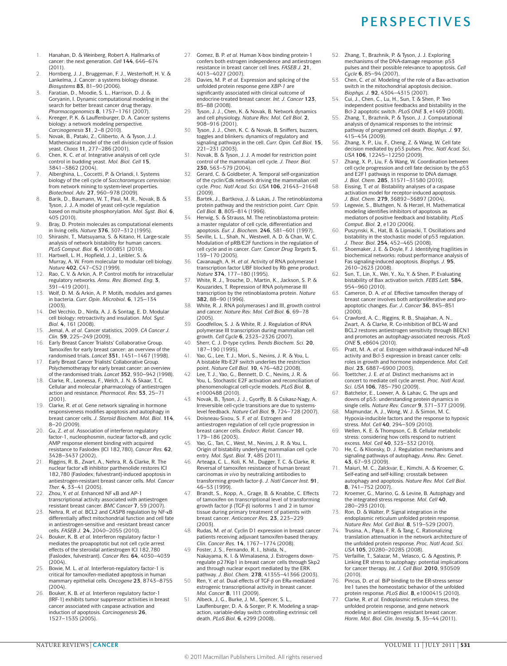- 1. Hanahan, D. & Weinberg, Robert A. Hallmarks of cancer: the next generation. *Cell* **144**, 646–674 (2011).
- 2. Hornberg, J. J., Bruggeman, F. J., Westerhoff, H. V. & Lankelma, J. Cancer: a systems biology disease. *Biosystems* **83**, 81–90 (2006).
- 3. Faratian, D., Moodie, S. L., Harrison, D. J. & Goryanin, I. Dynamic computational modeling in the search for better breast cancer drug therapy. *Pharmacogenomics* **8**, 1757–1761 (2007).
- 4. Kreeger, P. K. & Lauffenburger, D. A. Cancer systems biology: a network modeling perspective. *Carcinogenesis* **31**, 2–8 (2010).
- 5. Novak, B., Pataki, Z., Ciliberto, A. & Tyson, J. J. Mathematical model of the cell division cycle of fission yeast. *Chaos* **11**, 277–286 (2001).
- 6. Chen, K. C. *et al.* Integrative analysis of cell cycle control in budding yeast. *Mol. Biol. Cell* **15**, 3841–3862 (2004).
- 7. Alberghina, L., Coccetti, P. & Orlandi, I. Systems biology of the cell cycle of *Saccharomyces cerevisiae*: from network mining to system-level properties. *Biotechnol. Adv.* **27**, 960–978 (2009).
- 8. Barik, D., Baumann, W. T., Paul, M. R., Novak, B. & Tyson, J. J. A model of yeast cell-cycle regulation based on multisite phosphorylation. *Mol. Syst. Biol.* **6**, 405 (2010).
- 9. Bray, D. Protein molecules as computational elements in living cells. *Nature* **376**, 307–312 (1995).
- 10. Shiraishi, T., Matsuyama, S. & Kitano, H. Large-scale analysis of network bistability for human cancers. *PLoS Comput. Biol.* **6**, e1000851 (2010).
- 11. Hartwell, L. H., Hopfield, J. J., Leibler, S. & Murray, A. W. From molecular to modular cell biology. *Nature* **402**, C47–C52 (1999).
- 12. Rao, C. V. & Arkin, A. P. Control motifs for intracellular regulatory networks. *Annu. Rev. Biomed. Eng.* **3**, 391–419 (2001).
- 13. Wolf, D. M. & Arkin, A. P. Motifs, modules and games in bacteria. *Curr. Opin. Microbiol.* **6**, 125–134 (2003).
- 14. Del Vecchio, D., Ninfa, A. J. & Sontag, E. D. Modular cell biology: retroactivity and insulation. *Mol. Syst. Biol.* **4**, 161 (2008).
- 15. Jemal, A. *et al.* Cancer statistics, 2009. *CA Cancer J. Clin.* **59**, 225–249 (2009).
- 16. Early Breast Cancer Trialists' Collaborative Group. Tamoxifen for early breast cancer: an overview of the randomised trials. *Lancet* **351**, 1451–1467 (1998).
- Early Breast Cancer Trialists' Collaborative Group. Polychemotherapy for early breast cancer: an overview of the randomised trials. *Lancet* **352**, 930–942 (1998).
- 18. Clarke, R., Leonessa, F., Welch, J. N. & Skaar, T. C. Cellular and molecular pharmacology of antiestrogen action and resistance. *Pharmacol. Rev.* **53**, 25–71 (2001).
- 19. Clarke, R. *et al.* Gene network signaling in hormone responsiveness modifies apoptosis and autophagy in breast cancer cells. *J. Steroid Biochem. Mol. Biol.* **114**, 8–20 (2009).
- Gu, Z. et al. Association of interferon regulatory factor-1, nucleophosmin, nuclear factor-κB, and cyclic AMP response element binding with acquired resistance to Faslodex (ICI 182,780). *Cancer Res.* **62**, 3428–3437 (2002).
- 21. Riggins, R. B., Zwart, A., Nehra, R. & Clarke, R. The nuclear factor κB inhibitor parthenolide restores ICI 182,780 (Faslodex; fulvestrant)-induced apoptosis in antiestrogen-resistant breast cancer cells. *Mol. Cancer Ther.* **4**, 33–41 (2005).
- 22. Zhou, Y. *et al.* Enhanced NF κB and AP-1 transcriptional activity associated with antiestrogen resistant breast cancer. *BMC Cancer* **7**, 59 (2007).
- 23. Nehra, R. *et al.* BCL2 and CASP8 regulation by NF-κB differentially affect mitochondrial function and cell fate in antiestrogen-sensitive and -resistant breast cancer cells. *FASEB J.* **24**, 2040–2055 (2010).
- Bouker, K. B. *et al.* Interferon regulatory factor-1 mediates the proapoptotic but not cell cycle arrest effects of the steroidal antiestrogen ICI 182,780 (Faslodex, fulvestrant). *Cancer Res.* **64**, 4030–4039  $(2004)$
- 25. Bowie, M. L. *et al.* Interferon-regulatory factor-1 is critical for tamoxifen-mediated apoptosis in human mammary epithelial cells. *Oncogene* **23**, 8743–8755 (2004).
- 26. Bouker, K. B. *et al.* Interferon regulatory factor-1 (IRF-1) exhibits tumor suppressor activities in breast cancer associated with caspase activation and induction of apoptosis. *Carcinogenesis* **26**, 1527–1535 (2005).
- 27. Gomez, B. P. *et al.* Human X-box binding protein-1 confers both estrogen independence and antiestrogen resistance in breast cancer cell lines. *FASEB J.* **21**, 4013–4027 (2007).
- 28. Davies, M. P. *et al.* Expression and splicing of the unfolded protein response gene *XBP‑1* are significantly associated with clinical outcome of endocrine-treated breast cancer. *Int. J. Cancer* **123**, 85–88 (2008).
- 29. Tyson, J. J., Chen, K. & Novak, B. Network dynamics and cell physiology. *Nature Rev. Mol. Cell Biol.* **2**, 908–916 (2001).
- 30. Tyson, J. J., Chen, K. C. & Novak, B. Sniffers, buzzers, toggles and blinkers: dynamics of regulatory and signaling pathways in the cell. *Curr. Opin. Cell Biol.* **15**, 221–231 (2003).
- 31. Novak, B. & Tyson, J. J. A model for restriction point control of the mammalian cell cycle. *J. Theor. Biol.* **230**, 563–579 (2004).
- 32. Gerard, C. & Goldbeter, A. Temporal self-organization of the cyclin/Cdk network driving the mammalian cell cycle. *Proc. Natl Acad. Sci. USA* **106**, 21643–21648 (2009).
- 33. Bartek, J., Bartkova, J. & Lukas, J. The retinoblastoma protein pathway and the restriction point. *Curr. Opin. Cell Biol.* **8**, 805–814 (1996). 34. Herwig, S. & Strauss, M. The retinoblastoma protein:
- a master regulator of cell cycle, differentiation and apoptosis. *Eur. J. Biochem.* **246**, 581–601 (1997).
- 35. Seville, L. L., Shah, N., Westwell, A. D. & Chan, W. C. Modulation of pRB/E2F functions in the regulation of cell cycle and in cancer. *Curr. Cancer Drug Targets* **5**, 159–170 (2005).
- Cavanaugh, A. H. et al. Activity of RNA polymerase I transcription factor UBF blocked by Rb gene product. *Nature* **374**, 177–180 (1995).
- 37. White, R. J., Trouche, D., Martin, K., Jackson, S. P. & Kouzarides, T. Repression of RNA polymerase III transcription by the retinoblastoma protein. *Nature* **382**, 88–90 (1996).
- 38. White, R. J. RNA polymerases I and III, growth control and cancer. *Nature Rev. Mol. Cell Biol.* **6**, 69–78 (2005).
- Goodfellow, S. J. & White, R. J. Regulation of RNA polymerase III transcription during mammalian cell growth. *Cell Cycle* **6**, 2323–2326 (2007). 40. Sherr, C. J. D-type cyclins. *Trends Biochem. Sci.* **20**,
- 187–190 (1995). 41. Yao, G., Lee, T. J., Mori, S., Nevins, J. R. & You, L.
- A bistable Rb-E2F switch underlies the restriction point. *Nature Cell Biol.* **10**, 476–482 (2008).
- 42. Lee, T. J., Yao, G., Bennett, D. C., Nevins, J. R. & You, L. Stochastic E2F activation and reconciliation of phenomenological cell-cycle models. *PLoS Biol.* **8**, e1000488 (2010).
- 43. Novak, B., Tyson, J. J., Gyorffy, B. & Csikasz-Nagy, A. Irreversible cell-cycle transitions are due to systems-
- level feedback. *Nature Cell Biol.* **9**, 724–728 (2007). 44. Doisneau-Sixou, S. F. *et al.* Estrogen and antiestrogen regulation of cell cycle progression in breast cancer cells. *Endocr. Relat. Cancer* **10**, 179–186 (2003).
- 45. Yao, G., Tan, C., West, M., Nevins, J. R. & You, L. Origin of bistability underlying mammalian cell cycle entry. *Mol. Syst. Biol.* **7**, 485 (2011).
- 46. Arteaga, C. L., Koli, K. M., Dugger, T. C. & Clarke, R. Reversal of tamoxifen resistance of human breast carcinomas *in vivo* by neutralizing antibodies to transforming growth factor-β. *J. Natl Cancer Inst.* **91**, 46–53 (1999).
- Brandt, S., Kopp, A., Grage, B. & Knabbe, C. Effects of tamoxifen on transcriptional level of transforming growth factor  $β$  (TGF- $β$ ) isoforms 1 and 2 in tumo tissue during primary treatment of patients with breast cancer. *Anticancer Res.* **23**, 223–229 (2003).
- 48. Rudas, M. *et al*. Cyclin D1 expression in breast cancer patients receiving adjuvant tamoxifen-based therapy. *Clin. Cancer Res.* **14**, 1767–1774 (2008).
- 49. Foster, J. S., Fernando, R. I., Ishida, N., Nakayama, K. I. & Wimalasena, J. Estrogens downregulate p27Kip1 in breast cancer cells through Skp2 and through nuclear export mediated by the ERK pathway. *J. Biol. Chem.* **278**, 41355–41366 (2003).
- 50. Ren, Y. *et al.* Dual effects of TGF-β on ERα-mediated estrogenic transcriptional activity in breast cancer. *Mol. Cancer* **8**, 111 (2009). 51. Albeck, J. G., Burke, J. M., Spencer, S. L.,
- Lauffenburger, D. A. & Sorger, P. K. Modeling a snapaction, variable-delay switch controlling extrinsic cell death. *PLoS Biol.* **6**, e299 (2008).
- 52. Zhang, T., Brazhnik, P. & Tyson, J. J. Exploring mechanisms of the DNA-damage response: p53 pulses and their possible relevance to apoptosis. *Cell Cycle* **6**, 85–94 (2007).
- 53. Chen, C. *et al.* Modeling of the role of a Bax-activation switch in the mitochondrial apoptosis decision. *Biophys. J.* **92**, 4304–4315 (2007).
- 54. Cui, J., Chen, C., Lu, H., Sun, T. & Shen, P. Two independent positive feedbacks and bistability in the Bcl-2 apoptotic switch. *PLoS ONE* **3**, e1469 (2008).
- 55. Zhang, T., Brazhnik, P. & Tyson, J. J. Computational analysis of dynamical responses to the intrinsic pathway of programmed cell death. *Biophys. J.* **97**, 415–434 (2009).
- 56. Zhang, X. P., Liu, F., Cheng, Z. & Wang, W. Cell fate decision mediated by p53 pulses. *Proc. Natl Acad. Sci. USA* **106**, 12245–12250 (2009).
- 57. Zhang, X. P., Liu, F. & Wang, W. Coordination between cell cycle progression and cell fate decision by the p53 and E2F1 pathways in response to DNA damage. *J. Biol. Chem.* **285**, 31571–31580 (2010).
- 58. Eissing, T. *et al.* Bistability analyses of a caspase activation model for receptor-induced apoptosis. *J. Biol. Chem.* **279**, 36892–36897 (2004).
- 59. Legewie, S., Bluthgen, N. & Herzel, H. Mathematical modeling identifies inhibitors of apoptosis as mediators of positive feedback and bistability. *PLoS Comput. Biol.* **2**, e120 (2006).
- 60. Puszynski, K., Hat, B. & Lipniacki, T. Oscillations and bistability in the stochastic model of p53 regulation. *J. Theor. Biol.* **254**, 452–465 (2008).
- 61. Shoemaker, J. E. & Doyle, F. J. Identifying fragilities in biochemical networks: robust performance analysis of Fas signaling-induced apoptosis. *Biophys. J.* **95**, 2610–2623 (2008).
- 62. Sun, T., Lin, X., Wei, Y., Xu, Y. & Shen, P. Evaluating bistability of Bax activation switch. *FEBS Lett.* **584**, 954–960 (2010).
- 63. Cameron, D. A. *et al.* Effective tamoxifen therapy of breast cancer involves both antiproliferative and proapoptotic changes. *Eur. J. Cancer* **36**, 845–851 (2000).
- 64. Crawford, A. C., Riggins, R. B., Shajahan, A. N., Zwart, A. & Clarke, R. Co-inhibition of BCL-W and BCL2 restores antiestrogen sensitivity through BECN1 and promotes an autophagy-associated necrosis. *PLoS ONE* **5**, e8604 (2010).
- 65. Pratt, M. A. *et al.* Estrogen withdrawal-induced NF-κB activity and Bcl-3 expression in breast cancer cells: roles in growth and hormone independence. *Mol. Cell. Biol.* **23**, 6887–6900 (2003).
- 66. Toettcher, J. E. *et al.* Distinct mechanisms act in concert to mediate cell cycle arrest. *Proc. Natl Acad. Sci. USA* **106**, 785–790 (2009).
- Batchelor, E., Loewer, A. & Lahav, G. The ups and downs of p53: understanding protein dynamics in single cells. *Nature Rev. Cancer* **9**, 371–377 (2009).
- 68. Majmundar, A. J., Wong, W. J. & Simon, M. C. Hypoxia-inducible factors and the response to hypoxic stress. *Mol. Cell* **40**, 294–309 (2010).
- 69. Wellen, K. E. & Thompson, C. B. Cellular metabolic stress: considering how cells respond to nutrient excess. *Mol. Cell* **40**, 323–332 (2010).
- 70. He, C. & Klionsky, D. J. Regulation mechanisms and signaling pathways of autophagy. *Annu. Rev. Genet.* **43**, 67–93 (2009).
- Maiuri, M. C., Zalckvar, E., Kimchi, A. & Kroemer, G. Self-eating and self-killing: crosstalk between autophagy and apoptosis. *Nature Rev. Mol. Cell Biol.* **8**, 741–752 (2007).
- 72. Kroemer, G., Marino, G. & Levine, B. Autophagy and the integrated stress response. *Mol. Cell* **40**, 280–293 (2010).
- 73. Ron, D. & Walter, P. Signal integration in the endoplasmic reticulum unfolded protein response. *Nature Rev. Mol. Cell Biol.* **8**, 519–529 (2007).
- 74. Trusina, A., Papa, F. R. & Tang, C. Rationalizing translation attenuation in the network architecture of the unfolded protein response. *Proc. Natl Acad. Sci. USA* **105**, 20280–20285 (2008).
- 75. Verfaillie, T., Salazar, M., Velasco, G. & Agostinis, P. Linking ER stress to autophagy: potential implications for cancer therapy. *Int. J. Cell Biol.* **2010**, 930509 (2010).
- Pincus, D. *et al.* BiP binding to the ER-stress sensor Ire1 tunes the homeostatic behavior of the unfolded protein response. *PLoS Biol.* **8**, e1000415 (2010).
- 77. Clarke, R. *et al.* Endoplasmic reticulum stress, the unfolded protein response, and gene network modeling in antiestrogen resistant breast cancer *Horm. Mol. Biol. Clin. Investig.* **5**, 35–44 (2011).